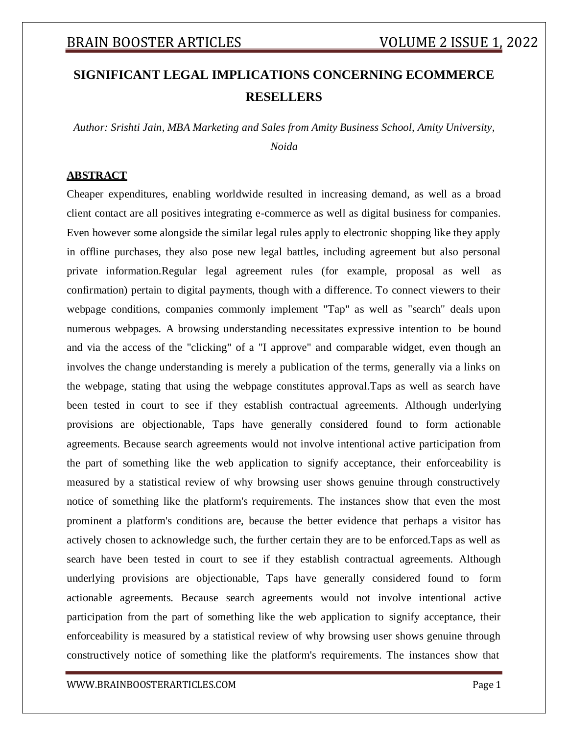# **SIGNIFICANT LEGAL IMPLICATIONS CONCERNING ECOMMERCE RESELLERS**

*Author: Srishti Jain, MBA Marketing and Sales from Amity Business School, Amity University, Noida*

#### **ABSTRACT**

Cheaper expenditures, enabling worldwide resulted in increasing demand, as well as a broad client contact are all positives integrating e-commerce as well as digital business for companies. Even however some alongside the similar legal rules apply to electronic shopping like they apply in offline purchases, they also pose new legal battles, including agreement but also personal private information.Regular legal agreement rules (for example, proposal as well as confirmation) pertain to digital payments, though with a difference. To connect viewers to their webpage conditions, companies commonly implement "Tap" as well as "search" deals upon numerous webpages. A browsing understanding necessitates expressive intention to be bound and via the access of the "clicking" of a "I approve" and comparable widget, even though an involves the change understanding is merely a publication of the terms, generally via a links on the webpage, stating that using the webpage constitutes approval.Taps as well as search have been tested in court to see if they establish contractual agreements. Although underlying provisions are objectionable, Taps have generally considered found to form actionable agreements. Because search agreements would not involve intentional active participation from the part of something like the web application to signify acceptance, their enforceability is measured by a statistical review of why browsing user shows genuine through constructively notice of something like the platform's requirements. The instances show that even the most prominent a platform's conditions are, because the better evidence that perhaps a visitor has actively chosen to acknowledge such, the further certain they are to be enforced.Taps as well as search have been tested in court to see if they establish contractual agreements. Although underlying provisions are objectionable, Taps have generally considered found to form actionable agreements. Because search agreements would not involve intentional active participation from the part of something like the web application to signify acceptance, their enforceability is measured by a statistical review of why browsing user shows genuine through constructively notice of something like the platform's requirements. The instances show that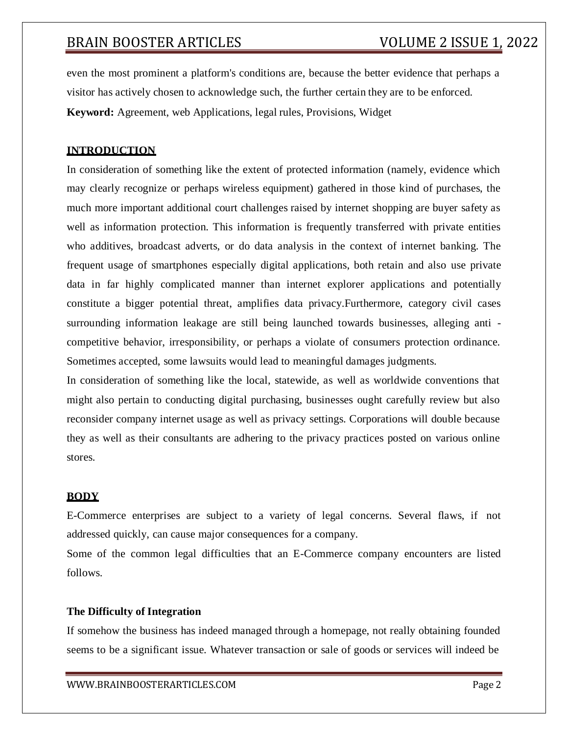even the most prominent a platform's conditions are, because the better evidence that perhaps a visitor has actively chosen to acknowledge such, the further certain they are to be enforced. **Keyword:** Agreement, web Applications, legal rules, Provisions, Widget

#### **INTRODUCTION**

In consideration of something like the extent of protected information (namely, evidence which may clearly recognize or perhaps wireless equipment) gathered in those kind of purchases, the much more important additional court challenges raised by internet shopping are buyer safety as well as information protection. This information is frequently transferred with private entities who additives, broadcast adverts, or do data analysis in the context of internet banking. The frequent usage of smartphones especially digital applications, both retain and also use private data in far highly complicated manner than internet explorer applications and potentially constitute a bigger potential threat, amplifies data privacy.Furthermore, category civil cases surrounding information leakage are still being launched towards businesses, alleging anti competitive behavior, irresponsibility, or perhaps a violate of consumers protection ordinance. Sometimes accepted, some lawsuits would lead to meaningful damages judgments.

In consideration of something like the local, statewide, as well as worldwide conventions that might also pertain to conducting digital purchasing, businesses ought carefully review but also reconsider company internet usage as well as privacy settings. Corporations will double because they as well as their consultants are adhering to the privacy practices posted on various online stores.

#### **BODY**

E-Commerce enterprises are subject to a variety of legal concerns. Several flaws, if not addressed quickly, can cause major consequences for a company.

Some of the common legal difficulties that an E-Commerce company encounters are listed follows.

#### **The Difficulty of Integration**

If somehow the business has indeed managed through a homepage, not really obtaining founded seems to be a significant issue. Whatever transaction or sale of goods or services will indeed be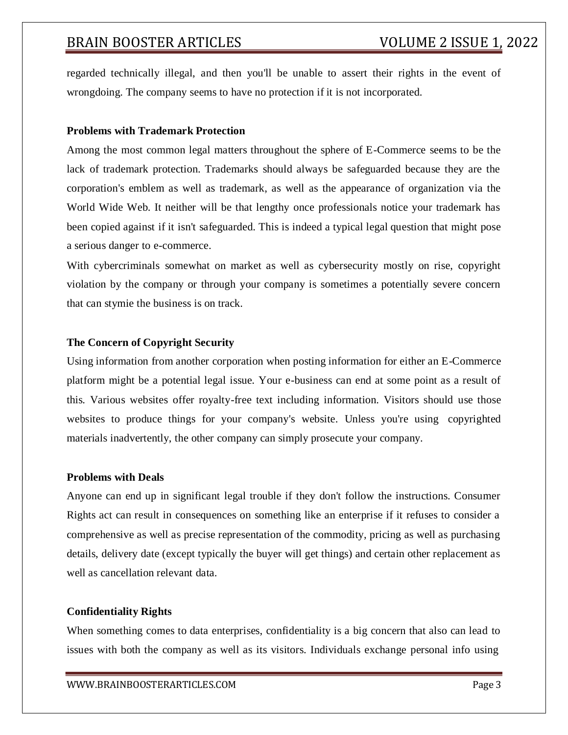regarded technically illegal, and then you'll be unable to assert their rights in the event of wrongdoing. The company seems to have no protection if it is not incorporated.

#### **Problems with Trademark Protection**

Among the most common legal matters throughout the sphere of E-Commerce seems to be the lack of trademark protection. Trademarks should always be safeguarded because they are the corporation's emblem as well as trademark, as well as the appearance of organization via the World Wide Web. It neither will be that lengthy once professionals notice your trademark has been copied against if it isn't safeguarded. This is indeed a typical legal question that might pose a serious danger to e-commerce.

With cybercriminals somewhat on market as well as cybersecurity mostly on rise, copyright violation by the company or through your company is sometimes a potentially severe concern that can stymie the business is on track.

#### **The Concern of Copyright Security**

Using information from another corporation when posting information for either an E-Commerce platform might be a potential legal issue. Your e-business can end at some point as a result of this. Various websites offer royalty-free text including information. Visitors should use those websites to produce things for your company's website. Unless you're using copyrighted materials inadvertently, the other company can simply prosecute your company.

#### **Problems with Deals**

Anyone can end up in significant legal trouble if they don't follow the instructions. Consumer Rights act can result in consequences on something like an enterprise if it refuses to consider a comprehensive as well as precise representation of the commodity, pricing as well as purchasing details, delivery date (except typically the buyer will get things) and certain other replacement as well as cancellation relevant data.

#### **Confidentiality Rights**

When something comes to data enterprises, confidentiality is a big concern that also can lead to issues with both the company as well as its visitors. Individuals exchange personal info using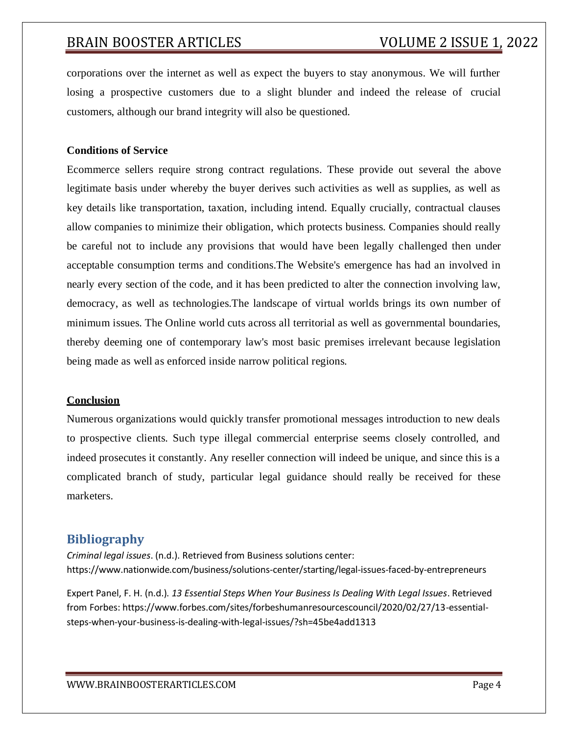corporations over the internet as well as expect the buyers to stay anonymous. We will further losing a prospective customers due to a slight blunder and indeed the release of crucial customers, although our brand integrity will also be questioned.

#### **Conditions of Service**

Ecommerce sellers require strong contract regulations. These provide out several the above legitimate basis under whereby the buyer derives such activities as well as supplies, as well as key details like transportation, taxation, including intend. Equally crucially, contractual clauses allow companies to minimize their obligation, which protects business. Companies should really be careful not to include any provisions that would have been legally challenged then under acceptable consumption terms and conditions.The Website's emergence has had an involved in nearly every section of the code, and it has been predicted to alter the connection involving law, democracy, as well as technologies.The landscape of virtual worlds brings its own number of minimum issues. The Online world cuts across all territorial as well as governmental boundaries, thereby deeming one of contemporary law's most basic premises irrelevant because legislation being made as well as enforced inside narrow political regions.

#### **Conclusion**

Numerous organizations would quickly transfer promotional messages introduction to new deals to prospective clients. Such type illegal commercial enterprise seems closely controlled, and indeed prosecutes it constantly. Any reseller connection will indeed be unique, and since this is a complicated branch of study, particular legal guidance should really be received for these marketers.

### **Bibliography**

*Criminal legal issues*. (n.d.). Retrieved from Business solutions center: https:/[/www.nationwide.com/business/solutions-center/starting/legal-issues-faced-by-entrepreneurs](http://www.nationwide.com/business/solutions-center/starting/legal-issues-faced-by-entrepreneurs)

Expert Panel, F. H. (n.d.). *13 Essential Steps When Your Business Is Dealing With Legal Issues*. Retrieved from Forbes: https:/[/www.forbes.com/sites/forbeshumanresourcescouncil/2020/02/27/13-essential](http://www.forbes.com/sites/forbeshumanresourcescouncil/2020/02/27/13-essential-)steps-when-your-business-is-dealing-with-legal-issues/?sh=45be4add1313